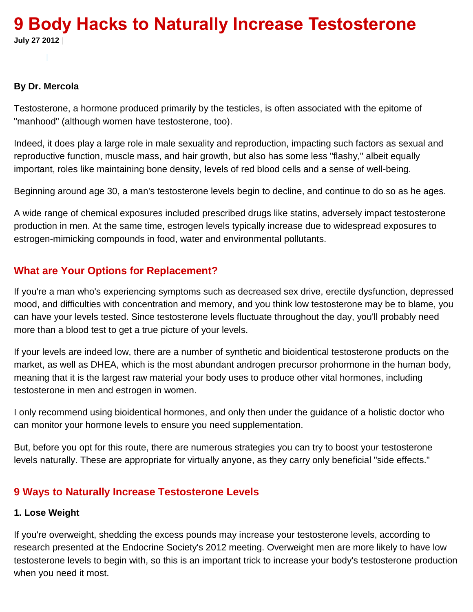# **9 Body Hacks to Naturally Increase Testosterone July 27 2012 |**

#### **By Dr. Mercola**

Testosterone, a hormone produced primarily by the testicles, is often associated with the epitome of "manhood" (although women have testosterone, too).

Indeed, it does play a large role in male sexuality and reproduction, impacting such factors as sexual and reproductive function, muscle mass, and hair growth, but also has some less "flashy," albeit equally important, roles like maintaining bone density, levels of red blood cells and a sense of well-being.

Beginning around age 30, a man's testosterone levels begin to decline, and continue to do so as he ages.

A wide range of chemical exposures included prescribed drugs like statins, adversely impact testosterone production in men. At the same time, estrogen levels typically increase due to widespread exposures to estrogen-mimicking compounds in food, water and environmental pollutants.

# **What are Your Options for Replacement?**

If you're a man who's experiencing symptoms such as decreased sex drive, erectile dysfunction, depressed mood, and difficulties with concentration and memory, and you think low testosterone may be to blame, you can have your levels tested. Since testosterone levels fluctuate throughout the day, you'll probably need more than a blood test to get a true picture of your levels.

If your levels are indeed low, there are a number of synthetic and bioidentical testosterone products on the market, as well as DHEA, which is the most abundant androgen precursor prohormone in the human body, meaning that it is the largest raw material your body uses to produce other vital hormones, including testosterone in men and estrogen in women.

I only recommend using bioidentical hormones, and only then under the guidance of a holistic doctor who can monitor your hormone levels to ensure you need supplementation.

But, before you opt for this route, there are numerous strategies you can try to boost your testosterone levels naturally. These are appropriate for virtually anyone, as they carry only beneficial "side effects."

## **9 Ways to Naturally Increase Testosterone Levels**

#### **1. Lose Weight**

If you're overweight, shedding the excess pounds may increase your testosterone levels, according to research presented at the Endocrine Society's 2012 meeting. Overweight men are more likely to have low testosterone levels to begin with, so this is an important trick to increase your body's testosterone production when you need it most.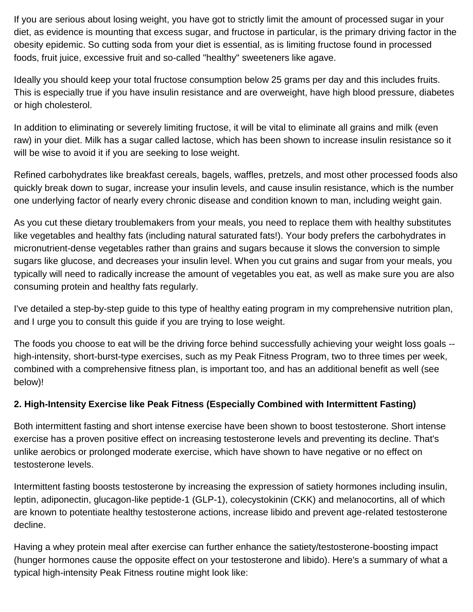If you are serious about losing weight, you have got to strictly limit the amount of processed sugar in your diet, as evidence is mounting that excess sugar, and fructose in particular, is the primary driving factor in the obesity epidemic. So cutting soda from your diet is essential, as is limiting fructose found in processed foods, fruit juice, excessive fruit and so-called "healthy" sweeteners like agave.

Ideally you should keep your total fructose consumption below 25 grams per day and this includes fruits. This is especially true if you have insulin resistance and are overweight, have high blood pressure, diabetes or high cholesterol.

In addition to eliminating or severely limiting fructose, it will be vital to eliminate all grains and milk (even raw) in your diet. Milk has a sugar called lactose, which has been shown to increase insulin resistance so it will be wise to avoid it if you are seeking to lose weight.

Refined carbohydrates like breakfast cereals, bagels, waffles, pretzels, and most other processed foods also quickly break down to sugar, increase your insulin levels, and cause insulin resistance, which is the number one underlying factor of nearly every chronic disease and condition known to man, including weight gain.

As you cut these dietary troublemakers from your meals, you need to replace them with healthy substitutes like vegetables and healthy fats (including natural saturated fats!). Your body prefers the carbohydrates in micronutrient-dense vegetables rather than grains and sugars because it slows the conversion to simple sugars like glucose, and decreases your insulin level. When you cut grains and sugar from your meals, you typically will need to radically increase the amount of vegetables you eat, as well as make sure you are also consuming protein and healthy fats regularly.

I've detailed a step-by-step guide to this type of healthy eating program in my comprehensive nutrition plan, and I urge you to consult this guide if you are trying to lose weight.

The foods you choose to eat will be the driving force behind successfully achieving your weight loss goals - high-intensity, short-burst-type exercises, such as my Peak Fitness Program, two to three times per week, combined with a comprehensive fitness plan, is important too, and has an additional benefit as well (see below)!

## **2. High-Intensity Exercise like Peak Fitness (Especially Combined with Intermittent Fasting)**

Both intermittent fasting and short intense exercise have been shown to boost testosterone. Short intense exercise has a proven positive effect on increasing testosterone levels and preventing its decline. That's unlike aerobics or prolonged moderate exercise, which have shown to have negative or no effect on testosterone levels.

Intermittent fasting boosts testosterone by increasing the expression of satiety hormones including insulin, leptin, adiponectin, glucagon-like peptide-1 (GLP-1), colecystokinin (CKK) and melanocortins, all of which are known to potentiate healthy testosterone actions, increase libido and prevent age-related testosterone decline.

Having a whey protein meal after exercise can further enhance the satiety/testosterone-boosting impact (hunger hormones cause the opposite effect on your testosterone and libido). Here's a summary of what a typical high-intensity Peak Fitness routine might look like: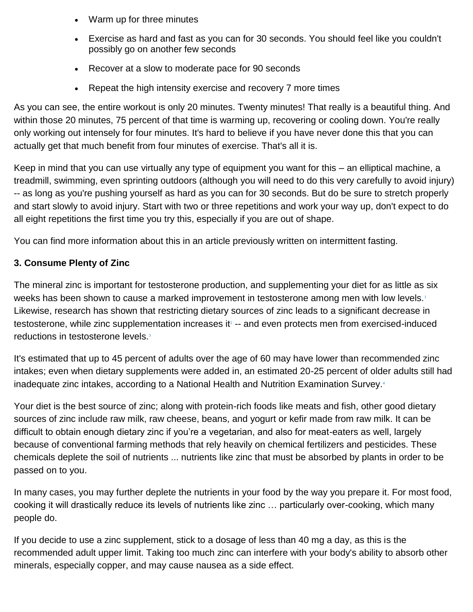- Warm up for three minutes
- Exercise as hard and fast as you can for 30 seconds. You should feel like you couldn't possibly go on another few seconds
- Recover at a slow to moderate pace for 90 seconds
- Repeat the high intensity exercise and recovery 7 more times

As you can see, the entire workout is only 20 minutes. Twenty minutes! That really is a beautiful thing. And within those 20 minutes, 75 percent of that time is warming up, recovering or cooling down. You're really only working out intensely for four minutes. It's hard to believe if you have never done this that you can actually get that much benefit from four minutes of exercise. That's all it is.

Keep in mind that you can use virtually any type of equipment you want for this – an elliptical machine, a treadmill, swimming, even sprinting outdoors (although you will need to do this very carefully to avoid injury) -- as long as you're pushing yourself as hard as you can for 30 seconds. But do be sure to stretch properly and start slowly to avoid injury. Start with two or three repetitions and work your way up, don't expect to do all eight repetitions the first time you try this, especially if you are out of shape.

You can find more information about this in an article previously written on intermittent fasting.

#### **3. Consume Plenty of Zinc**

The mineral zinc is important for testosterone production, and supplementing your diet for as little as six weeks has been shown to cause a marked improvement in testosterone among men with low levels[.](http://fitness.mercola.com/sites/fitness/archive/2012/07/27/increase-testosterone-levels.aspx#_edn1)<sup>1</sup> Likewise, research has shown that restricting dietary sources of zinc leads to a significant decrease in [t](http://fitness.mercola.com/sites/fitness/archive/2012/07/27/increase-testosterone-levels.aspx#_edn1)estosterone, while zinc supplementation increases it<sup>2</sup> -- and even protects men from exercised-induced reductions in testosterone levels[.](http://fitness.mercola.com/sites/fitness/archive/2012/07/27/increase-testosterone-levels.aspx#_edn1)<sup>3</sup>

It's estimated that up to 45 percent of adults over the age of 60 may have lower than recommended zinc intakes; even when dietary supplements were added in, an estimated 20-25 percent of older adults still had inadequate zinc intakes, according to a National Health and Nutrition Examination Survey[.](http://fitness.mercola.com/sites/fitness/archive/2012/07/27/increase-testosterone-levels.aspx#_edn1)<sup>4</sup>

Your diet is the best source of zinc; along with protein-rich foods like meats and fish, other good dietary sources of zinc include raw milk, raw cheese, beans, and yogurt or kefir made from raw milk. It can be difficult to obtain enough dietary zinc if you're a vegetarian, and also for meat-eaters as well, largely because of conventional farming methods that rely heavily on chemical fertilizers and pesticides. These chemicals deplete the soil of nutrients ... nutrients like zinc that must be absorbed by plants in order to be passed on to you.

In many cases, you may further deplete the nutrients in your food by the way you prepare it. For most food, cooking it will drastically reduce its levels of nutrients like zinc … particularly over-cooking, which many people do.

If you decide to use a zinc supplement, stick to a dosage of less than 40 mg a day, as this is the recommended adult upper limit. Taking too much zinc can interfere with your body's ability to absorb other minerals, especially copper, and may cause nausea as a side effect.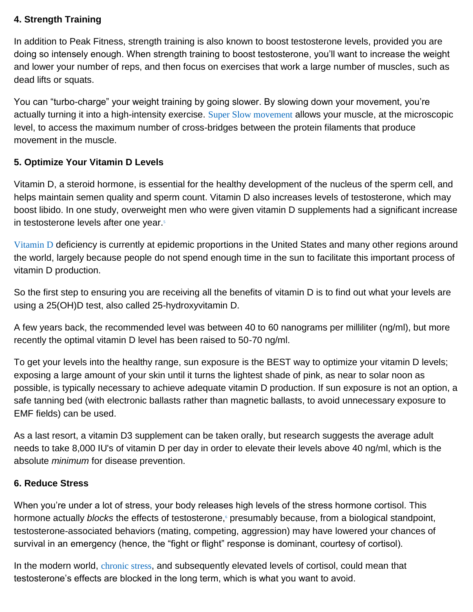#### **4. Strength Training**

In addition to Peak Fitness, strength training is also known to boost testosterone levels, provided you are doing so intensely enough. When strength training to boost testosterone, you'll want to increase the weight and lower your number of reps, and then focus on exercises that work a large number of muscles, such as dead lifts or squats.

You can "turbo-charge" your weight training by going slower. By slowing down your movement, you're actually turning it into a high-intensity exercise. [Super Slow movement](http://fitness.mercola.com/sites/fitness/archive/2012/05/11/benefits-of-super-slow-workouts.aspx) allows your muscle, at the microscopic level, to access the maximum number of cross-bridges between the protein filaments that produce movement in the muscle.

#### **5. Optimize Your Vitamin D Levels**

Vitamin D, a steroid hormone, is essential for the healthy development of the nucleus of the sperm cell, and helps maintain semen quality and sperm count. Vitamin D also increases levels of testosterone, which may boost libido. In one study, overweight men who were given vitamin D supplements had a significant increase in testosterone levels after one year[.](http://fitness.mercola.com/sites/fitness/archive/2012/07/27/increase-testosterone-levels.aspx#_edn1)<sup>5</sup>

[Vitamin D](http://articles.mercola.com/sites/articles/archive/2008/12/16/my-one-hour-vitamin-d-lecture-to-clear-up-all-your-confusion-on-this-vital-nutrient.aspx) deficiency is currently at epidemic proportions in the United States and many other regions around the world, largely because people do not spend enough time in the sun to facilitate this important process of vitamin D production.

So the first step to ensuring you are receiving all the benefits of vitamin D is to find out what your levels are using a 25(OH)D test, also called 25-hydroxyvitamin D.

A few years back, the recommended level was between 40 to 60 nanograms per milliliter (ng/ml), but more recently the optimal vitamin D level has been raised to 50-70 ng/ml.

To get your levels into the healthy range, sun exposure is the BEST way to optimize your vitamin D levels; exposing a large amount of your skin until it turns the lightest shade of pink, as near to solar noon as possible, is typically necessary to achieve adequate vitamin D production. If sun exposure is not an option, a safe tanning bed (with electronic ballasts rather than magnetic ballasts, to avoid unnecessary exposure to EMF fields) can be used.

As a last resort, a vitamin D3 supplement can be taken orally, but research suggests the average adult needs to take 8,000 IU's of vitamin D per day in order to elevate their levels above 40 ng/ml, which is the absolute *minimum* for disease prevention.

#### **6. Reduce Stress**

When you're under a lot of stress, your body releases high levels of the stress hormone cortisol. This hormone actually *blocks* the effects of testosterone[,](http://fitness.mercola.com/sites/fitness/archive/2012/07/27/increase-testosterone-levels.aspx#_edn1) presumably because, from a biological standpoint, testosterone-associated behaviors (mating, competing, aggression) may have lowered your chances of survival in an emergency (hence, the "fight or flight" response is dominant, courtesy of cortisol).

In the modern world, [chronic stress](http://articles.mercola.com/sites/articles/archive/2012/05/10/10-steps-to-manage-stress.aspx), and subsequently elevated levels of cortisol, could mean that testosterone's effects are blocked in the long term, which is what you want to avoid.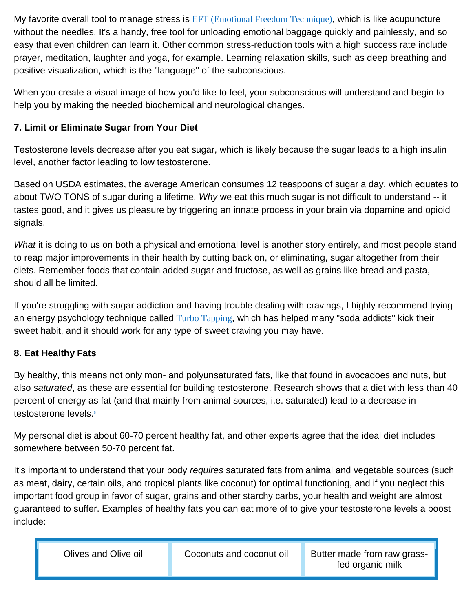My favorite overall tool to manage stress is [EFT \(Emotional Freedom Technique\)](http://eft.mercola.com/), which is like acupuncture without the needles. It's a handy, free tool for unloading emotional baggage quickly and painlessly, and so easy that even children can learn it. Other common stress-reduction tools with a high success rate include prayer, meditation, laughter and yoga, for example. Learning relaxation skills, such as deep breathing and positive visualization, which is the "language" of the subconscious.

When you create a visual image of how you'd like to feel, your subconscious will understand and begin to help you by making the needed biochemical and neurological changes.

# **7. Limit or Eliminate Sugar from Your Diet**

Testosterone levels decrease after you eat sugar, which is likely because the sugar leads to a high insulin level, another factor leading to low testosterone[.](http://fitness.mercola.com/sites/fitness/archive/2012/07/27/increase-testosterone-levels.aspx#_edn1)<sup>7</sup>

Based on USDA estimates, the average American consumes 12 teaspoons of sugar a day, which equates to about TWO TONS of sugar during a lifetime. *Why* we eat this much sugar is not difficult to understand -- it tastes good, and it gives us pleasure by triggering an innate process in your brain via dopamine and opioid signals.

*What* it is doing to us on both a physical and emotional level is another story entirely, and most people stand to reap major improvements in their health by cutting back on, or eliminating, sugar altogether from their diets. Remember foods that contain added sugar and fructose, as well as grains like bread and pasta, should all be limited.

If you're struggling with sugar addiction and having trouble dealing with cravings, I highly recommend trying an energy psychology technique called [Turbo Tapping](http://articles.mercola.com/sites/articles/archive/2005/05/04/turbo-tapping.aspx), which has helped many "soda addicts" kick their sweet habit, and it should work for any type of sweet craving you may have.

## **8. Eat Healthy Fats**

By healthy, this means not only mon- and polyunsaturated fats, like that found in avocadoes and nuts, but also *saturated*, as these are essential for building testosterone. Research shows that a diet with less than 40 percent of energy as fat (and that mainly from animal sources, i.e. saturated) lead to a decrease in testosterone levels[.](http://fitness.mercola.com/sites/fitness/archive/2012/07/27/increase-testosterone-levels.aspx#_edn1)<sup>8</sup>

My personal diet is about 60-70 percent healthy fat, and other experts agree that the ideal diet includes somewhere between 50-70 percent fat.

It's important to understand that your body *requires* saturated fats from animal and vegetable sources (such as meat, dairy, certain oils, and tropical plants like coconut) for optimal functioning, and if you neglect this important food group in favor of sugar, grains and other starchy carbs, your health and weight are almost guaranteed to suffer. Examples of healthy fats you can eat more of to give your testosterone levels a boost include: